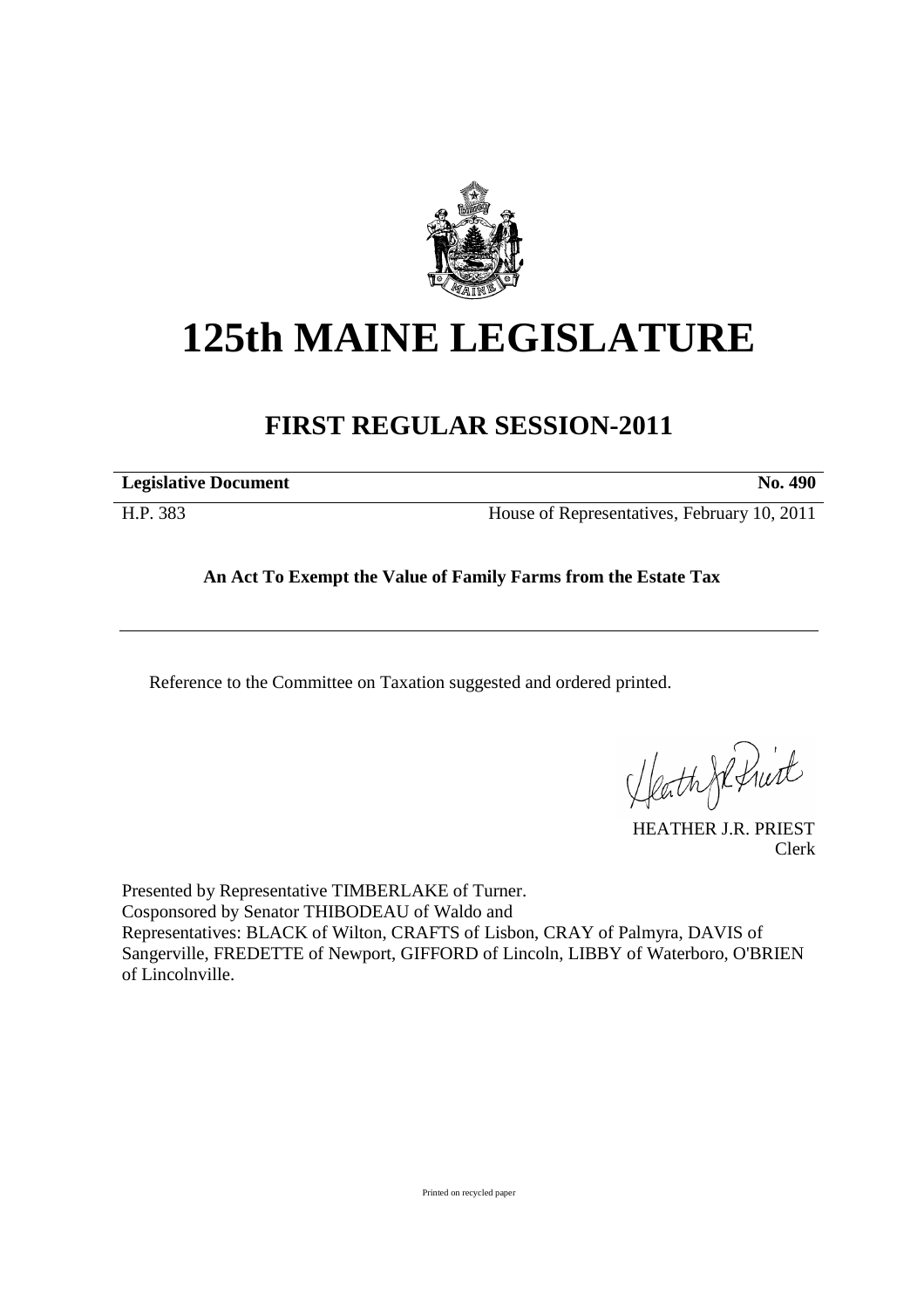

# **125th MAINE LEGISLATURE**

# **FIRST REGULAR SESSION-2011**

**Legislative Document No. 490** 

H.P. 383 House of Representatives, February 10, 2011

## **An Act To Exempt the Value of Family Farms from the Estate Tax**

Reference to the Committee on Taxation suggested and ordered printed.

Heath Johnist

HEATHER J.R. PRIEST Clerk

Presented by Representative TIMBERLAKE of Turner. Cosponsored by Senator THIBODEAU of Waldo and Representatives: BLACK of Wilton, CRAFTS of Lisbon, CRAY of Palmyra, DAVIS of Sangerville, FREDETTE of Newport, GIFFORD of Lincoln, LIBBY of Waterboro, O'BRIEN of Lincolnville.